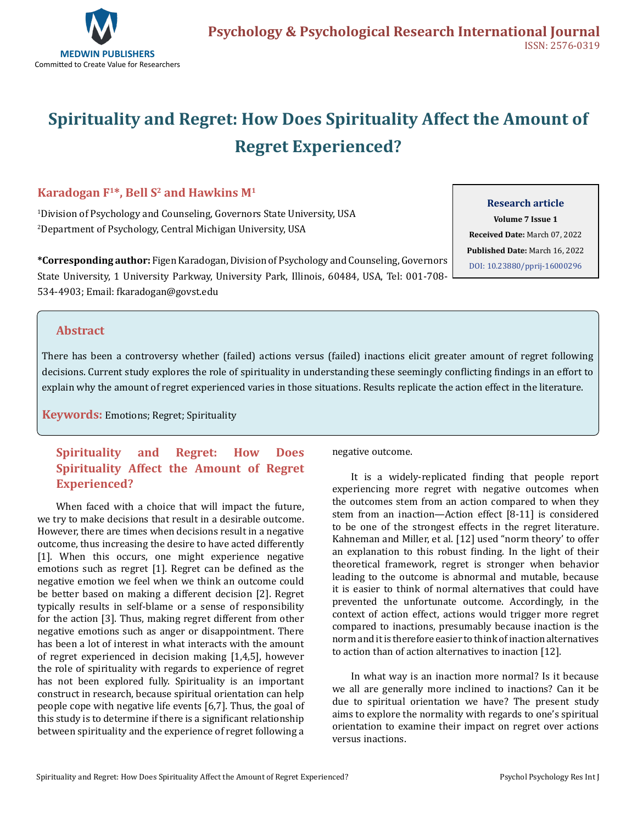

# **Spirituality and Regret: How Does Spirituality Affect the Amount of Regret Experienced?**

## **Karadogan**  $F^{1*}$ **, Bell S<sup>2</sup> and Hawkins M<sup>1</sup>**

1 Division of Psychology and Counseling, Governors State University, USA 2 Department of Psychology, Central Michigan University, USA

**\*Corresponding author:** Figen Karadogan, Division of Psychology and Counseling, Governors State University, 1 University Parkway, University Park, Illinois, 60484, USA, Tel: 001-708- 534-4903; Email: fkaradogan@govst.edu

#### **Research article**

**Volume 7 Issue 1 Received Date:** March 07, 2022 **Published Date:** March 16, 2022 [DOI: 10.23880/pprij-16000296](https://doi.org/10.23880/pprij-16000296)

### **Abstract**

There has been a controversy whether (failed) actions versus (failed) inactions elicit greater amount of regret following decisions. Current study explores the role of spirituality in understanding these seemingly conflicting findings in an effort to explain why the amount of regret experienced varies in those situations. Results replicate the action effect in the literature.

**Keywords:** Emotions; Regret; Spirituality

## **Spirituality and Regret: How Does Spirituality Affect the Amount of Regret Experienced?**

When faced with a choice that will impact the future, we try to make decisions that result in a desirable outcome. However, there are times when decisions result in a negative outcome, thus increasing the desire to have acted differently [1]. When this occurs, one might experience negative emotions such as regret [1]. Regret can be defined as the negative emotion we feel when we think an outcome could be better based on making a different decision [2]. Regret typically results in self-blame or a sense of responsibility for the action [3]. Thus, making regret different from other negative emotions such as anger or disappointment. There has been a lot of interest in what interacts with the amount of regret experienced in decision making [1,4,5], however the role of spirituality with regards to experience of regret has not been explored fully. Spirituality is an important construct in research, because spiritual orientation can help people cope with negative life events [6,7]. Thus, the goal of this study is to determine if there is a significant relationship between spirituality and the experience of regret following a negative outcome.

It is a widely-replicated finding that people report experiencing more regret with negative outcomes when the outcomes stem from an action compared to when they stem from an inaction—Action effect [8-11] is considered to be one of the strongest effects in the regret literature. Kahneman and Miller, et al. [12] used "norm theory' to offer an explanation to this robust finding. In the light of their theoretical framework, regret is stronger when behavior leading to the outcome is abnormal and mutable, because it is easier to think of normal alternatives that could have prevented the unfortunate outcome. Accordingly, in the context of action effect, actions would trigger more regret compared to inactions, presumably because inaction is the norm and it is therefore easier to think of inaction alternatives to action than of action alternatives to inaction [12].

In what way is an inaction more normal? Is it because we all are generally more inclined to inactions? Can it be due to spiritual orientation we have? The present study aims to explore the normality with regards to one's spiritual orientation to examine their impact on regret over actions versus inactions.